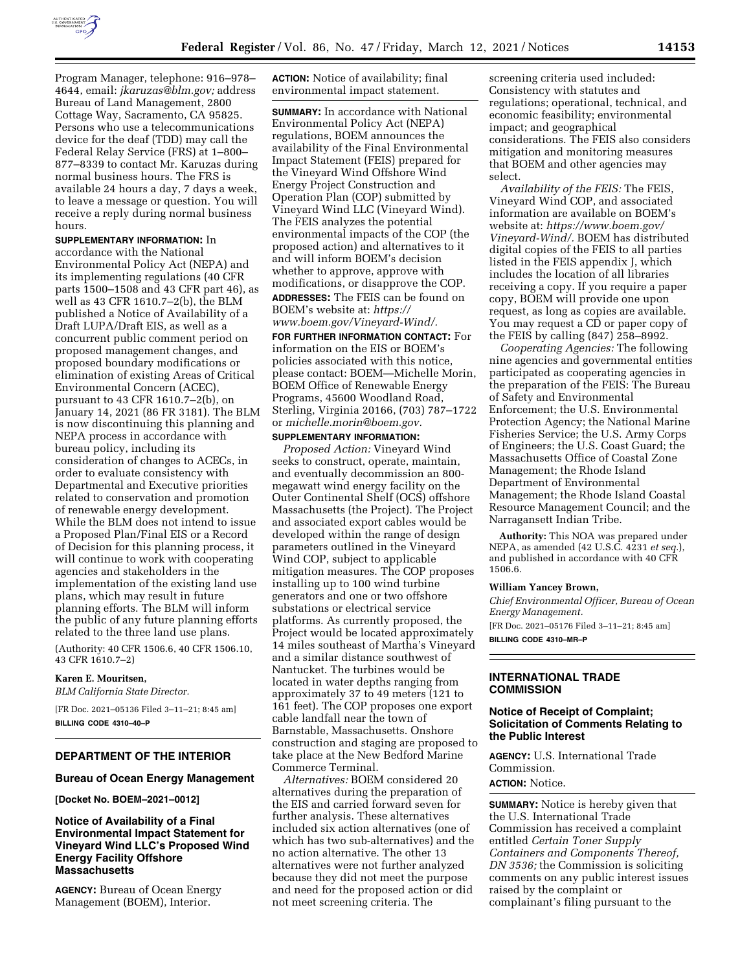

Program Manager, telephone: 916–978– 4644, email: *[jkaruzas@blm.gov;](mailto:jkaruzas@blm.gov)* address Bureau of Land Management, 2800 Cottage Way, Sacramento, CA 95825. Persons who use a telecommunications device for the deaf (TDD) may call the Federal Relay Service (FRS) at 1–800– 877–8339 to contact Mr. Karuzas during normal business hours. The FRS is available 24 hours a day, 7 days a week, to leave a message or question. You will receive a reply during normal business hours.

**SUPPLEMENTARY INFORMATION:** In accordance with the National Environmental Policy Act (NEPA) and its implementing regulations (40 CFR parts 1500–1508 and 43 CFR part 46), as well as 43 CFR 1610.7–2(b), the BLM published a Notice of Availability of a Draft LUPA/Draft EIS, as well as a concurrent public comment period on proposed management changes, and proposed boundary modifications or elimination of existing Areas of Critical Environmental Concern (ACEC), pursuant to 43 CFR 1610.7–2(b), on January 14, 2021 (86 FR 3181). The BLM is now discontinuing this planning and NEPA process in accordance with bureau policy, including its consideration of changes to ACECs, in order to evaluate consistency with Departmental and Executive priorities related to conservation and promotion of renewable energy development. While the BLM does not intend to issue a Proposed Plan/Final EIS or a Record of Decision for this planning process, it will continue to work with cooperating agencies and stakeholders in the implementation of the existing land use plans, which may result in future planning efforts. The BLM will inform the public of any future planning efforts related to the three land use plans.

(Authority: 40 CFR 1506.6, 40 CFR 1506.10, 43 CFR 1610.7–2)

### **Karen E. Mouritsen,**

*BLM California State Director.* 

[FR Doc. 2021–05136 Filed 3–11–21; 8:45 am] **BILLING CODE 4310–40–P** 

# **DEPARTMENT OF THE INTERIOR**

#### **Bureau of Ocean Energy Management**

**[Docket No. BOEM–2021–0012]** 

### **Notice of Availability of a Final Environmental Impact Statement for Vineyard Wind LLC's Proposed Wind Energy Facility Offshore Massachusetts**

**AGENCY:** Bureau of Ocean Energy Management (BOEM), Interior.

**ACTION:** Notice of availability; final environmental impact statement.

**SUMMARY:** In accordance with National Environmental Policy Act (NEPA) regulations, BOEM announces the availability of the Final Environmental Impact Statement (FEIS) prepared for the Vineyard Wind Offshore Wind Energy Project Construction and Operation Plan (COP) submitted by Vineyard Wind LLC (Vineyard Wind). The FEIS analyzes the potential environmental impacts of the COP (the proposed action) and alternatives to it and will inform BOEM's decision whether to approve, approve with modifications, or disapprove the COP.

**ADDRESSES:** The FEIS can be found on BOEM's website at: *[https://](https://www.boem.gov/Vineyard-Wind/) [www.boem.gov/Vineyard-Wind/.](https://www.boem.gov/Vineyard-Wind/)* 

**FOR FURTHER INFORMATION CONTACT:** For information on the EIS or BOEM's policies associated with this notice, please contact: BOEM—Michelle Morin, BOEM Office of Renewable Energy Programs, 45600 Woodland Road, Sterling, Virginia 20166, (703) 787–1722 or *[michelle.morin@boem.gov.](mailto:michelle.morin@boem.gov)* 

# **SUPPLEMENTARY INFORMATION:**

*Proposed Action:* Vineyard Wind seeks to construct, operate, maintain, and eventually decommission an 800 megawatt wind energy facility on the Outer Continental Shelf (OCS) offshore Massachusetts (the Project). The Project and associated export cables would be developed within the range of design parameters outlined in the Vineyard Wind COP, subject to applicable mitigation measures. The COP proposes installing up to 100 wind turbine generators and one or two offshore substations or electrical service platforms. As currently proposed, the Project would be located approximately 14 miles southeast of Martha's Vineyard and a similar distance southwest of Nantucket. The turbines would be located in water depths ranging from approximately 37 to 49 meters (121 to 161 feet). The COP proposes one export cable landfall near the town of Barnstable, Massachusetts. Onshore construction and staging are proposed to take place at the New Bedford Marine Commerce Terminal.

*Alternatives:* BOEM considered 20 alternatives during the preparation of the EIS and carried forward seven for further analysis. These alternatives included six action alternatives (one of which has two sub-alternatives) and the no action alternative. The other 13 alternatives were not further analyzed because they did not meet the purpose and need for the proposed action or did not meet screening criteria. The

screening criteria used included: Consistency with statutes and regulations; operational, technical, and economic feasibility; environmental impact; and geographical considerations. The FEIS also considers mitigation and monitoring measures that BOEM and other agencies may select.

*Availability of the FEIS:* The FEIS, Vineyard Wind COP, and associated information are available on BOEM's website at: *[https://www.boem.gov/](https://www.boem.gov/Vineyard-Wind/)  [Vineyard-Wind/.](https://www.boem.gov/Vineyard-Wind/)* BOEM has distributed digital copies of the FEIS to all parties listed in the FEIS appendix J, which includes the location of all libraries receiving a copy. If you require a paper copy, BOEM will provide one upon request, as long as copies are available. You may request a CD or paper copy of the FEIS by calling (847) 258–8992.

*Cooperating Agencies:* The following nine agencies and governmental entities participated as cooperating agencies in the preparation of the FEIS: The Bureau of Safety and Environmental Enforcement; the U.S. Environmental Protection Agency; the National Marine Fisheries Service; the U.S. Army Corps of Engineers; the U.S. Coast Guard; the Massachusetts Office of Coastal Zone Management; the Rhode Island Department of Environmental Management; the Rhode Island Coastal Resource Management Council; and the Narragansett Indian Tribe.

**Authority:** This NOA was prepared under NEPA, as amended (42 U.S.C. 4231 *et seq.*), and published in accordance with 40 CFR 1506.6.

#### **William Yancey Brown,**

*Chief Environmental Officer, Bureau of Ocean Energy Management.* 

[FR Doc. 2021–05176 Filed 3–11–21; 8:45 am] **BILLING CODE 4310–MR–P** 

**INTERNATIONAL TRADE COMMISSION** 

### **Notice of Receipt of Complaint; Solicitation of Comments Relating to the Public Interest**

**AGENCY:** U.S. International Trade Commission. **ACTION:** Notice.

**SUMMARY:** Notice is hereby given that the U.S. International Trade Commission has received a complaint entitled *Certain Toner Supply Containers and Components Thereof, DN 3536;* the Commission is soliciting comments on any public interest issues raised by the complaint or complainant's filing pursuant to the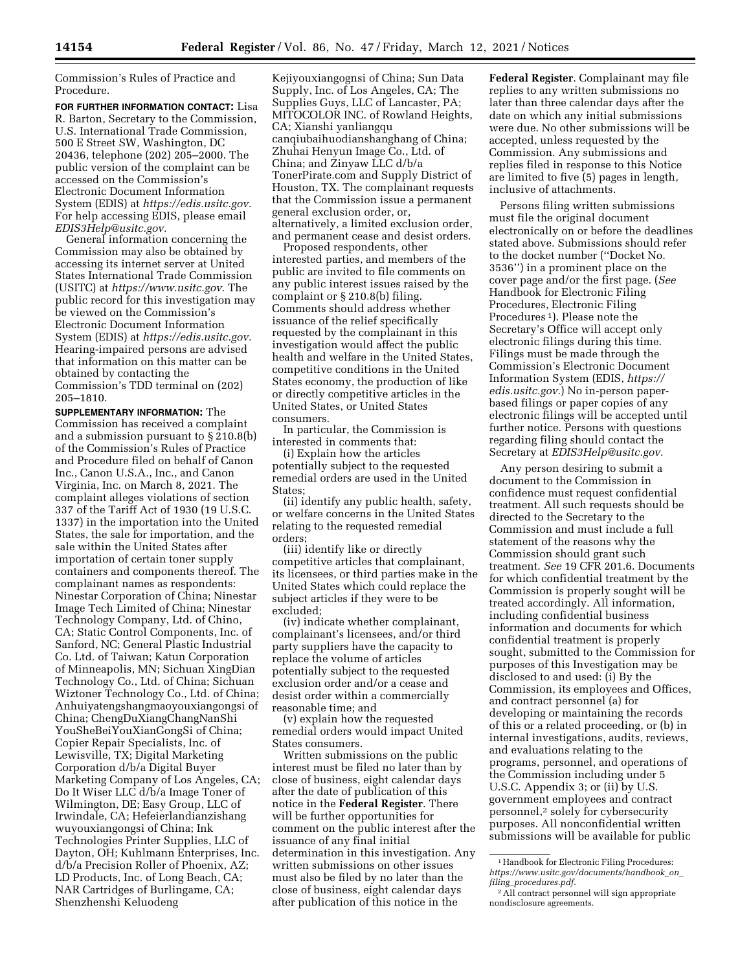Commission's Rules of Practice and Procedure.

**FOR FURTHER INFORMATION CONTACT:** Lisa R. Barton, Secretary to the Commission, U.S. International Trade Commission, 500 E Street SW, Washington, DC 20436, telephone (202) 205–2000. The public version of the complaint can be accessed on the Commission's Electronic Document Information System (EDIS) at *[https://edis.usitc.gov.](https://edis.usitc.gov)*  For help accessing EDIS, please email *[EDIS3Help@usitc.gov.](mailto:EDIS3Help@usitc.gov)* 

General information concerning the Commission may also be obtained by accessing its internet server at United States International Trade Commission (USITC) at *<https://www.usitc.gov>*. The public record for this investigation may be viewed on the Commission's Electronic Document Information System (EDIS) at *[https://edis.usitc.gov.](https://edis.usitc.gov)*  Hearing-impaired persons are advised that information on this matter can be obtained by contacting the Commission's TDD terminal on (202) 205–1810.

**SUPPLEMENTARY INFORMATION:** The Commission has received a complaint and a submission pursuant to  $\S$  210.8(b) of the Commission's Rules of Practice and Procedure filed on behalf of Canon Inc., Canon U.S.A., Inc., and Canon Virginia, Inc. on March 8, 2021. The complaint alleges violations of section 337 of the Tariff Act of 1930 (19 U.S.C. 1337) in the importation into the United States, the sale for importation, and the sale within the United States after importation of certain toner supply containers and components thereof. The complainant names as respondents: Ninestar Corporation of China; Ninestar Image Tech Limited of China; Ninestar Technology Company, Ltd. of Chino, CA; Static Control Components, Inc. of Sanford, NC; General Plastic Industrial Co. Ltd. of Taiwan; Katun Corporation of Minneapolis, MN; Sichuan XingDian Technology Co., Ltd. of China; Sichuan Wiztoner Technology Co., Ltd. of China; Anhuiyatengshangmaoyouxiangongsi of China; ChengDuXiangChangNanShi YouSheBeiYouXianGongSi of China; Copier Repair Specialists, Inc. of Lewisville, TX; Digital Marketing Corporation d/b/a Digital Buyer Marketing Company of Los Angeles, CA; Do It Wiser LLC d/b/a Image Toner of Wilmington, DE; Easy Group, LLC of Irwindale, CA; Hefeierlandianzishang wuyouxiangongsi of China; Ink Technologies Printer Supplies, LLC of Dayton, OH; Kuhlmann Enterprises, Inc. d/b/a Precision Roller of Phoenix, AZ; LD Products, Inc. of Long Beach, CA; NAR Cartridges of Burlingame, CA; Shenzhenshi Keluodeng

Kejiyouxiangognsi of China; Sun Data Supply, Inc. of Los Angeles, CA; The Supplies Guys, LLC of Lancaster, PA; MITOCOLOR INC. of Rowland Heights, CA; Xianshi yanliangqu canqiubaihuodianshanghang of China; Zhuhai Henyun Image Co., Ltd. of China; and Zinyaw LLC d/b/a TonerPirate.com and Supply District of Houston, TX. The complainant requests that the Commission issue a permanent general exclusion order, or, alternatively, a limited exclusion order, and permanent cease and desist orders.

Proposed respondents, other interested parties, and members of the public are invited to file comments on any public interest issues raised by the complaint or § 210.8(b) filing. Comments should address whether issuance of the relief specifically requested by the complainant in this investigation would affect the public health and welfare in the United States, competitive conditions in the United States economy, the production of like or directly competitive articles in the United States, or United States consumers.

In particular, the Commission is interested in comments that:

(i) Explain how the articles potentially subject to the requested remedial orders are used in the United States;

(ii) identify any public health, safety, or welfare concerns in the United States relating to the requested remedial orders;

(iii) identify like or directly competitive articles that complainant, its licensees, or third parties make in the United States which could replace the subject articles if they were to be excluded;

(iv) indicate whether complainant, complainant's licensees, and/or third party suppliers have the capacity to replace the volume of articles potentially subject to the requested exclusion order and/or a cease and desist order within a commercially reasonable time; and

(v) explain how the requested remedial orders would impact United States consumers.

Written submissions on the public interest must be filed no later than by close of business, eight calendar days after the date of publication of this notice in the **Federal Register**. There will be further opportunities for comment on the public interest after the issuance of any final initial determination in this investigation. Any written submissions on other issues must also be filed by no later than the close of business, eight calendar days after publication of this notice in the

**Federal Register**. Complainant may file replies to any written submissions no later than three calendar days after the date on which any initial submissions were due. No other submissions will be accepted, unless requested by the Commission. Any submissions and replies filed in response to this Notice are limited to five (5) pages in length, inclusive of attachments.

Persons filing written submissions must file the original document electronically on or before the deadlines stated above. Submissions should refer to the docket number (''Docket No. 3536'') in a prominent place on the cover page and/or the first page. (*See*  Handbook for Electronic Filing Procedures, Electronic Filing Procedures 1). Please note the Secretary's Office will accept only electronic filings during this time. Filings must be made through the Commission's Electronic Document Information System (EDIS, *[https://](https://edis.usitc.gov) [edis.usitc.gov.](https://edis.usitc.gov)*) No in-person paperbased filings or paper copies of any electronic filings will be accepted until further notice. Persons with questions regarding filing should contact the Secretary at *[EDIS3Help@usitc.gov.](mailto:EDIS3Help@usitc.gov)* 

Any person desiring to submit a document to the Commission in confidence must request confidential treatment. All such requests should be directed to the Secretary to the Commission and must include a full statement of the reasons why the Commission should grant such treatment. *See* 19 CFR 201.6. Documents for which confidential treatment by the Commission is properly sought will be treated accordingly. All information, including confidential business information and documents for which confidential treatment is properly sought, submitted to the Commission for purposes of this Investigation may be disclosed to and used: (i) By the Commission, its employees and Offices, and contract personnel (a) for developing or maintaining the records of this or a related proceeding, or (b) in internal investigations, audits, reviews, and evaluations relating to the programs, personnel, and operations of the Commission including under 5 U.S.C. Appendix 3; or (ii) by U.S. government employees and contract personnel,2 solely for cybersecurity purposes. All nonconfidential written submissions will be available for public

<sup>1</sup>Handbook for Electronic Filing Procedures: *[https://www.usitc.gov/documents/handbook](https://www.usitc.gov/documents/handbook_on_filing_procedures.pdf)*\_*on*\_ *filing*\_*[procedures.pdf.](https://www.usitc.gov/documents/handbook_on_filing_procedures.pdf)* 

<sup>2</sup>All contract personnel will sign appropriate nondisclosure agreements.